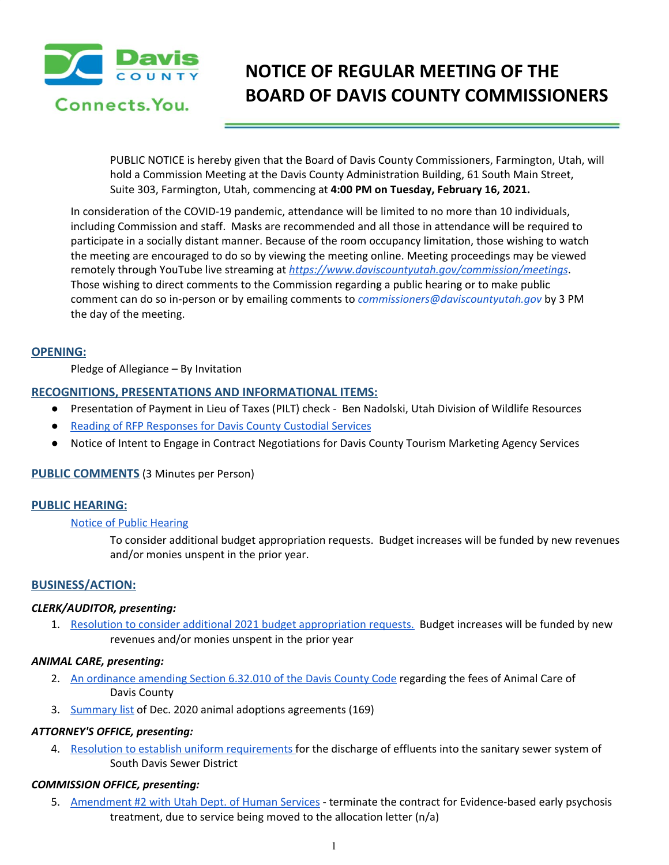

# **NOTICE OF REGULAR MEETING OF THE BOARD OF DAVIS COUNTY COMMISSIONERS**

PUBLIC NOTICE is hereby given that the Board of Davis County Commissioners, Farmington, Utah, will hold a Commission Meeting at the Davis County Administration Building, 61 South Main Street, Suite 303, Farmington, Utah, commencing at **4:00 PM on Tuesday, February 16, 2021.**

In consideration of the COVID-19 pandemic, attendance will be limited to no more than 10 individuals, including Commission and staff. Masks are recommended and all those in attendance will be required to participate in a socially distant manner. Because of the room occupancy limitation, those wishing to watch the meeting are encouraged to do so by viewing the meeting online. Meeting proceedings may be viewed remotely through YouTube live streaming at *<https://www.daviscountyutah.gov/commission/meetings>*. Those wishing to direct comments to the Commission regarding a public hearing or to make public comment can do so in-person or by emailing comments to *commissioners@daviscountyutah.gov* by 3 PM the day of the meeting.

## **OPENING:**

Pledge of Allegiance – By Invitation

## **RECOGNITIONS, PRESENTATIONS AND INFORMATIONAL ITEMS:**

- Presentation of Payment in Lieu of Taxes (PILT) check Ben Nadolski, Utah Division of Wildlife Resources
- Reading of RFP [Responses](https://drive.google.com/file/d/145ryVBl5-xZrPzzb5SAmksNsB_Zcf-B8/view?usp=drivesdk) for Davis County Custodial Services
- Notice of Intent to Engage in Contract Negotiations for Davis County Tourism Marketing Agency Services

## **PUBLIC COMMENTS** (3 Minutes per Person)

## **PUBLIC HEARING:**

## Notice of Public [Hearing](https://drive.google.com/file/d/1xbabZKphuxpXD2yat2vH6ZqH9py46LNF/view?usp=drivesdk)

To consider additional budget appropriation requests. Budget increases will be funded by new revenues and/or monies unspent in the prior year.

## **BUSINESS/ACTION:**

## *CLERK/AUDITOR, presenting:*

1. Resolution to consider additional 2021 budget [appropriation](https://drive.google.com/file/d/18g9anEkIuiohgnnbTrqQvjO9hvN_WN8M/view?usp=drivesdk) requests. Budget increases will be funded by new revenues and/or monies unspent in the prior year

## *ANIMAL CARE, presenting:*

- 2. An [ordinance](https://drive.google.com/file/d/1fXI5hrnv98UbiWTk3oGfo1UZpfS4xSLi/view?usp=drivesdk) amending Section 6.32.010 of the Davis County Code regarding the fees of Animal Care of Davis County
- 3. [Summary](https://drive.google.com/file/d/1ji5wV_F9biN5onstaZ_vv0PfoA0pHOtz/view?usp=drivesdk) list of Dec. 2020 animal adoptions agreements (169)

## *ATTORNEY'S OFFICE, presenting:*

4. Resolution to establish uniform [requirements](https://drive.google.com/file/d/1yNveB6140lMWAM9r8b86Hu-tOEp6buLd/view?usp=drivesdk) for the discharge of effluents into the sanitary sewer system of South Davis Sewer District

## *COMMISSION OFFICE, presenting:*

5. [Amendment](https://drive.google.com/file/d/1BhnqiBewiCkcEPUkyqy34cpUr1mjyqm1/view?usp=drivesdk) #2 with Utah Dept. of Human Services - terminate the contract for Evidence-based early psychosis treatment, due to service being moved to the allocation letter (n/a)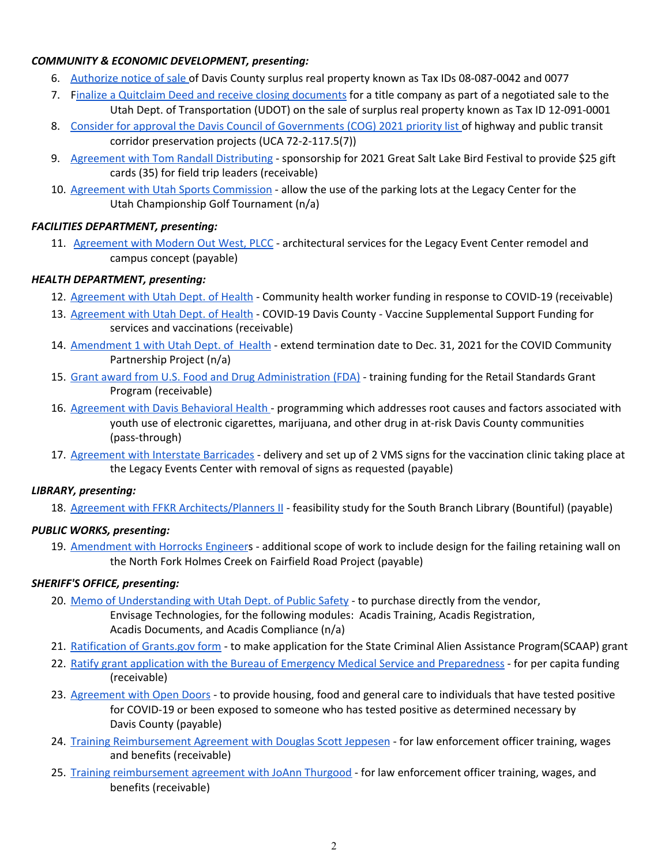# *COMMUNITY & ECONOMIC DEVELOPMENT, presenting:*

- 6. [Authorize](https://drive.google.com/file/d/138z57_2gEQ4q42N-qmc-rbf7h6eaWq9K/view?usp=drivesdk) notice of sale of Davis County surplus real property known as Tax IDs 08-087-0042 and 0077
- 7. Finalize a Quitclaim Deed and receive closing [documents](https://drive.google.com/file/d/1RWtbHAjN6ExCI0d801bEMhe3kNFOMswH/view?usp=drivesdk) for a title company as part of a negotiated sale to the Utah Dept. of Transportation (UDOT) on the sale of surplus real property known as Tax ID 12-091-0001
- 8. Consider for approval the Davis Council of [Governments](https://drive.google.com/file/d/13M4bMaHaa7zf6QkZJV7cjhUzHOWFJM9A/view?usp=drivesdk) (COG) 2021 priority list of highway and public transi[t](https://drive.google.com/file/d/13M4bMaHaa7zf6QkZJV7cjhUzHOWFJM9A/view?usp=drivesdk) corridor preservation projects (UCA 72-2-117.5(7))
- 9. Agreement with Tom Randall [Distributing](https://drive.google.com/file/d/1zWDchDKXF9B18ivWlSemD6BV7Jfyzlay/view?usp=drivesdk) sponsorship for 2021 Great Salt Lake Bird Festival to provide \$25 gift cards (35) for field trip leaders (receivable)
- 10. Agreement with Utah Sports [Commission](https://drive.google.com/file/d/1E_XFO-5w569drnQklgcs9p0Yi7C-FcAK/view?usp=drivesdk) allow the use of the parking lots at the Legacy Center for the Utah Championship Golf Tournament (n/a)

# *FACILITIES DEPARTMENT, presenting:*

11. [Agreement](https://drive.google.com/file/d/1SwRFiFzG3x1Gq96YeyP1uesyN2zecBqF/view?usp=drivesdk) with Modern Out West, PLCC - architectural services for the Legacy Event Center remodel and campus concept (payable)

# *HEALTH DEPARTMENT, presenting:*

- 12. [Agreement](https://drive.google.com/file/d/1T-md_rxzj7y6jig8sWD2OOQKsGL6fhEk/view?usp=drivesdk) with Utah Dept. of Health Community health worker funding in response to COVID-19 (receivable)
- 13. [Agreement](https://drive.google.com/file/d/1uoRtVzuDLulzLDoMF-mNYzti3Kg2syCa/view?usp=drivesdk) with Utah Dept. of Health COVID-19 Davis County Vaccine Supplemental Support Funding for services and vaccinations (receivable)
- 14. [Amendment](https://drive.google.com/file/d/1oR3U9xBXhAYQMNjuvYu0W_4SWbdlaRB1/view?usp=drivesdk) 1 with Utah Dept. of Health extend termination date to Dec. 31, 2021 for the COVID Community Partnership Project (n/a)
- 15. Grant award from U.S. Food and Drug [Administration](https://drive.google.com/file/d/1JnkB4MMeaEbZMKqt0kOysIS4km45NAPa/view?usp=drivesdk) (FDA) training funding for the Retail Standards Grant Program (receivable)
- 16. [Agreement](https://drive.google.com/file/d/1VpN4GbZQXE8vgL7ls5ryH2yCuhZdlEGk/view?usp=drivesdk) with Davis Behavioral Health programming which addresses root causes and factors associated with youth use of electronic cigarettes, marijuana, and other drug in at-risk Davis County communities (pass-through)
- 17. [Agreement](https://drive.google.com/file/d/1CNzC7XnLgjE8RSXhyZ4dAQnk0l4vPVzD/view?usp=drivesdk) with Interstate Barricades delivery and set up of 2 VMS signs for the vaccination clinic taking place at the Legacy Events Center with removal of signs as requested (payable)

## *LIBRARY, presenting:*

18. Agreement with FFKR [Architects/Planners](https://drive.google.com/file/d/1cb50cvmodobfEMhNdMzut5ml1DD6NDUV/view?usp=drivesdk) II - feasibility study for the South Branch Library (Bountiful) (payable)

# *PUBLIC WORKS, presenting:*

19. [Amendment](https://drive.google.com/file/d/1_lDeR4wssAaALrtzzhjolyVEx4vl6ANK/view?usp=drivesdk) with Horrocks Engineers - additional scope of work to include design for the failing retaining wall on the North Fork Holmes Creek on Fairfield Road Project (payable)

# *SHERIFF'S OFFICE, presenting:*

- 20. Memo of [Understanding](https://drive.google.com/file/d/19speWz1zf3xe7Z47jv7WWsN78-N2Q4r3/view?usp=drivesdk) with Utah Dept. of Public Safety to purchase directly from the vendor, Envisage Technologies, for the following modules: Acadis Training, Acadis Registration, Acadis Documents, and Acadis Compliance (n/a)
- 21. [Ratification](https://drive.google.com/file/d/1bscbWc4OqyNF-2L03XseANhAy6jWmo6f/view?usp=drivesdk) of Grants.gov form to make application for the State Criminal Alien Assistance Program(SCAAP) grant
- 22. Ratify grant application with the Bureau of Emergency Medical Service and [Preparedness](https://drive.google.com/file/d/1K2gJ1-I0pVLXzfQVuXq8WZbnKRNmp4re/view?usp=drivesdk) for per capita funding (receivable)
- 23. [Agreement](https://drive.google.com/file/d/17CuWPe7bwfkec8v4tMLmIGb1IcaiPopI/view?usp=drivesdk) with Open Doors to provide housing, food and general care to individuals that have tested positive for COVID-19 or been exposed to someone who has tested positive as determined necessary by Davis County (payable)
- 24. Training [Reimbursement](https://drive.google.com/file/d/1yvylq0Akb2ATHq5acU3InfazlDL6olpm/view?usp=drivesdk) Agreement with Douglas Scott Jeppesen for law enforcement officer training, wages and benefits (receivable)
- 25. Training [reimbursement](https://drive.google.com/file/d/1sgh7IVlVedSVya7H9X0cSIfrn_3PmXBU/view?usp=drivesdk) agreement with JoAnn Thurgood for law enforcement officer training, wages, and benefits (receivable)